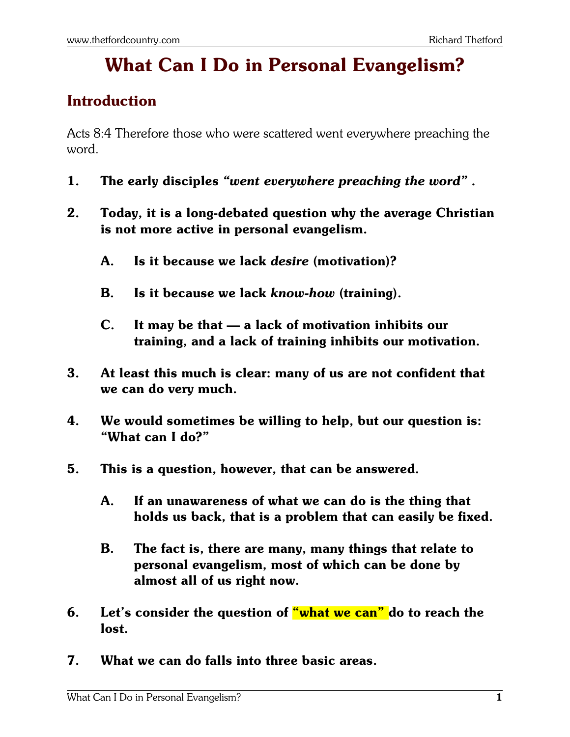# **What Can I Do in Personal Evangelism?**

#### **Introduction**

Acts 8:4 Therefore those who were scattered went everywhere preaching the word.

- **1. The early disciples** *"went everywhere preaching the word"* **.**
- **2. Today, it is a long-debated question why the average Christian is not more active in personal evangelism.**
	- **A. Is it because we lack** *desire* **(motivation)?**
	- **B. Is it because we lack** *know-how* **(training).**
	- **C. It may be that a lack of motivation inhibits our training, and a lack of training inhibits our motivation.**
- **3. At least this much is clear: many of us are not confident that we can do very much.**
- **4. We would sometimes be willing to help, but our question is: "What can I do?"**
- **5. This is a question, however, that can be answered.**
	- **A. If an unawareness of what we can do is the thing that holds us back, that is a problem that can easily be fixed.**
	- **B. The fact is, there are many, many things that relate to personal evangelism, most of which can be done by almost all of us right now.**
- **6. Let's consider the question of "what we can" do to reach the lost.**
- **7. What we can do falls into three basic areas.**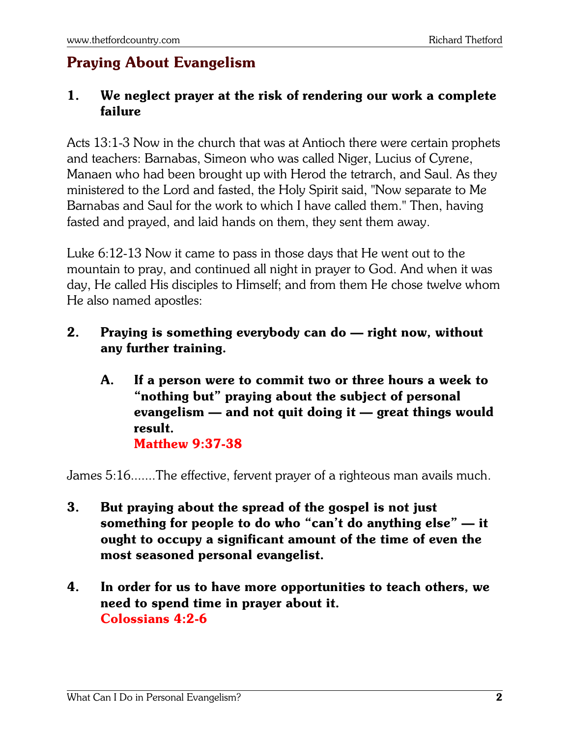## **Praying About Evangelism**

#### **1. We neglect prayer at the risk of rendering our work a complete failure**

Acts 13:1-3 Now in the church that was at Antioch there were certain prophets and teachers: Barnabas, Simeon who was called Niger, Lucius of Cyrene, Manaen who had been brought up with Herod the tetrarch, and Saul. As they ministered to the Lord and fasted, the Holy Spirit said, "Now separate to Me Barnabas and Saul for the work to which I have called them." Then, having fasted and prayed, and laid hands on them, they sent them away.

Luke 6:12-13 Now it came to pass in those days that He went out to the mountain to pray, and continued all night in prayer to God. And when it was day, He called His disciples to Himself; and from them He chose twelve whom He also named apostles:

- **2. Praying is something everybody can do right now, without any further training.**
	- **A. If a person were to commit two or three hours a week to "nothing but" praying about the subject of personal evangelism — and not quit doing it — great things would result. Matthew 9:37-38**

James 5:16.......The effective, fervent prayer of a righteous man avails much.

- **3. But praying about the spread of the gospel is not just something for people to do who "can't do anything else" — it ought to occupy a significant amount of the time of even the most seasoned personal evangelist.**
- **4. In order for us to have more opportunities to teach others, we need to spend time in prayer about it. Colossians 4:2-6**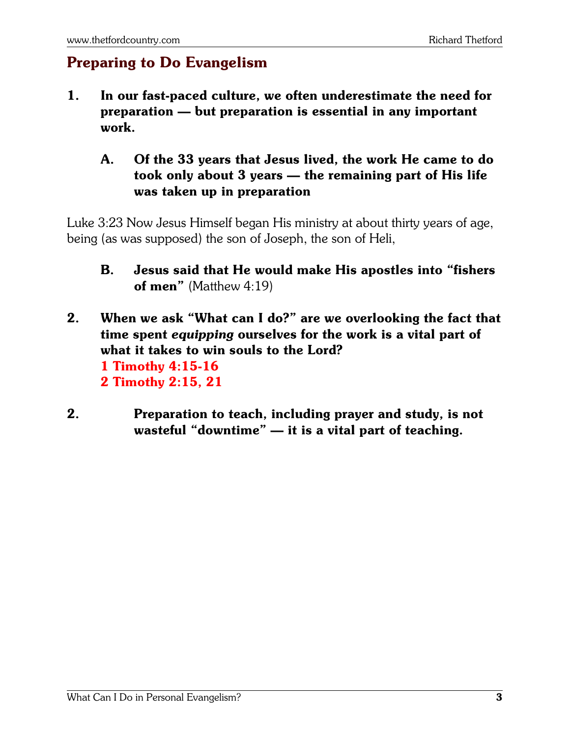### **Preparing to Do Evangelism**

- **1. In our fast-paced culture, we often underestimate the need for preparation — but preparation is essential in any important work.**
	- **A. Of the 33 years that Jesus lived, the work He came to do took only about 3 years — the remaining part of His life was taken up in preparation**

Luke 3:23 Now Jesus Himself began His ministry at about thirty years of age, being (as was supposed) the son of Joseph, the son of Heli,

- **B. Jesus said that He would make His apostles into "fishers of men"** (Matthew 4:19)
- **2. When we ask "What can I do?" are we overlooking the fact that time spent** *equipping* **ourselves for the work is a vital part of what it takes to win souls to the Lord? 1 Timothy 4:15-16 2 Timothy 2:15, 21**
- **2. Preparation to teach, including prayer and study, is not wasteful "downtime" — it is a vital part of teaching.**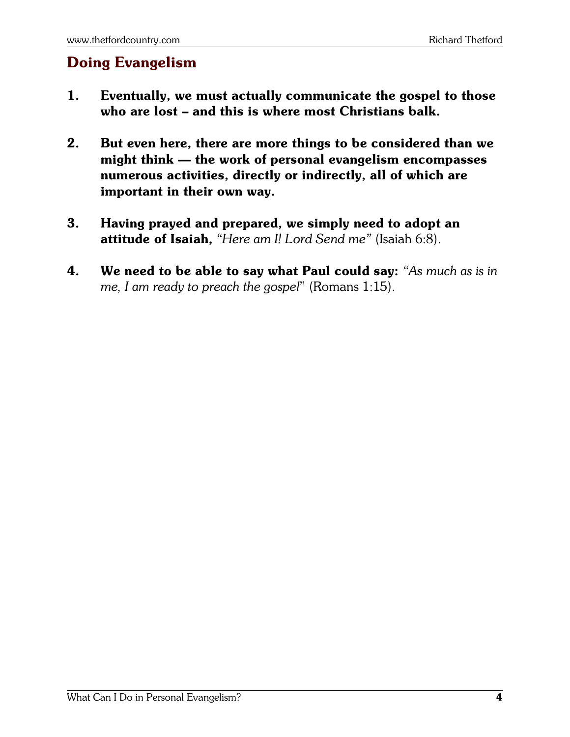### **Doing Evangelism**

- **1. Eventually, we must actually communicate the gospel to those who are lost – and this is where most Christians balk.**
- **2. But even here, there are more things to be considered than we might think — the work of personal evangelism encompasses numerous activities, directly or indirectly, all of which are important in their own way.**
- **3. Having prayed and prepared, we simply need to adopt an attitude of Isaiah,** *"Here am I! Lord Send me"* (Isaiah 6:8).
- **4. We need to be able to say what Paul could say:** *"As much as is in me, I am ready to preach the gospel*" (Romans 1:15).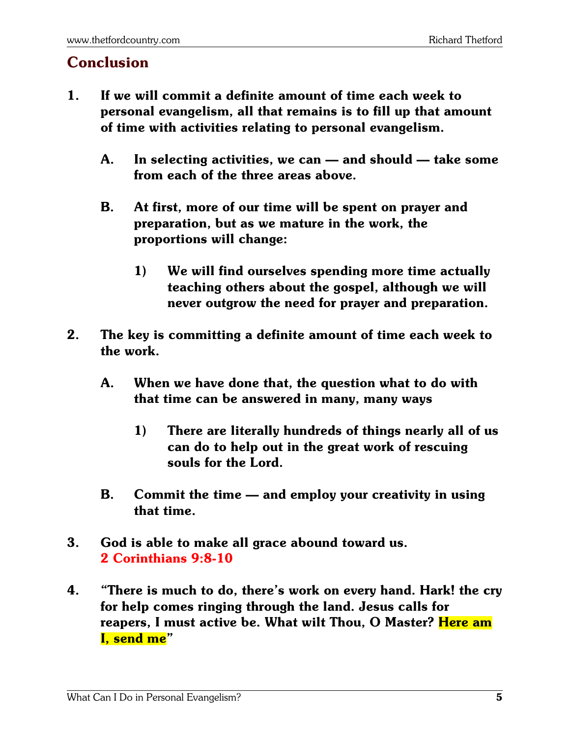#### **Conclusion**

- **1. If we will commit a definite amount of time each week to personal evangelism, all that remains is to fill up that amount of time with activities relating to personal evangelism.**
	- **A. In selecting activities, we can and should take some from each of the three areas above.**
	- **B. At first, more of our time will be spent on prayer and preparation, but as we mature in the work, the proportions will change:**
		- **1) We will find ourselves spending more time actually teaching others about the gospel, although we will never outgrow the need for prayer and preparation.**
- **2. The key is committing a definite amount of time each week to the work.**
	- **A. When we have done that, the question what to do with that time can be answered in many, many ways**
		- **1) There are literally hundreds of things nearly all of us can do to help out in the great work of rescuing souls for the Lord.**
	- **B. Commit the time and employ your creativity in using that time.**
- **3. God is able to make all grace abound toward us. 2 Corinthians 9:8-10**
- **4. "There is much to do, there's work on every hand. Hark! the cry for help comes ringing through the land. Jesus calls for reapers, I must active be. What wilt Thou, O Master? Here am I, send me"**